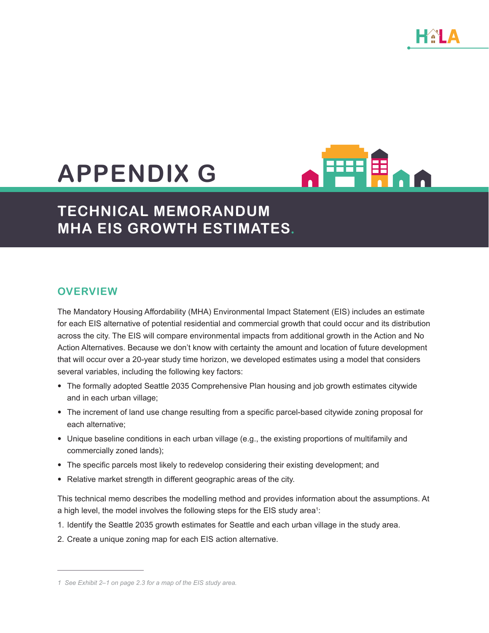# **APPENDIX G**



## **TECHNICAL MEMORANDUM MHA EIS GROWTH ESTIMATES.**

#### **OVERVIEW**

The Mandatory Housing Affordability (MHA) Environmental Impact Statement (EIS) includes an estimate for each EIS alternative of potential residential and commercial growth that could occur and its distribution across the city. The EIS will compare environmental impacts from additional growth in the Action and No Action Alternatives. Because we don't know with certainty the amount and location of future development that will occur over a 20-year study time horizon, we developed estimates using a model that considers several variables, including the following key factors:

- The formally adopted Seattle 2035 Comprehensive Plan housing and job growth estimates citywide and in each urban village;
- The increment of land use change resulting from a specific parcel-based citywide zoning proposal for each alternative;
- Unique baseline conditions in each urban village (e.g., the existing proportions of multifamily and commercially zoned lands);
- The specific parcels most likely to redevelop considering their existing development; and
- Relative market strength in different geographic areas of the city.

This technical memo describes the modelling method and provides information about the assumptions. At a high level, the model involves the following steps for the EIS study area $^{\rm t}$ :

- 1. Identify the Seattle 2035 growth estimates for Seattle and each urban village in the study area.
- 2. Create a unique zoning map for each EIS action alternative.

*<sup>1</sup> See Exhibit 2–1 on page 2.3 for a map of the EIS study area.*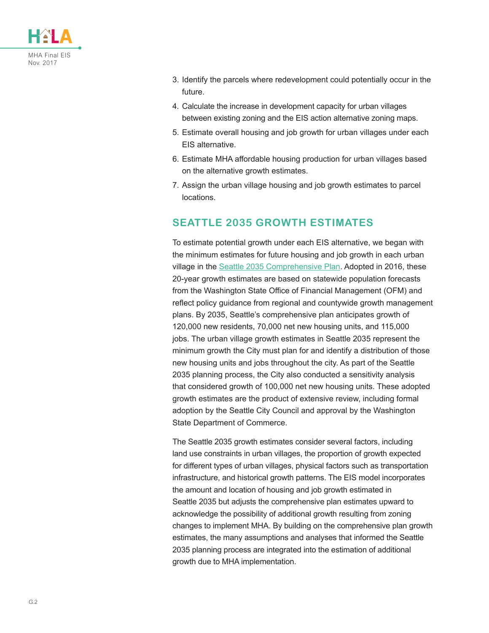

- 3. Identify the parcels where redevelopment could potentially occur in the future.
- 4. Calculate the increase in development capacity for urban villages between existing zoning and the EIS action alternative zoning maps.
- 5. Estimate overall housing and job growth for urban villages under each EIS alternative.
- 6. Estimate MHA affordable housing production for urban villages based on the alternative growth estimates.
- 7. Assign the urban village housing and job growth estimates to parcel locations.

#### **SEATTLE 2035 GROWTH ESTIMATES**

To estimate potential growth under each EIS alternative, we began with the minimum estimates for future housing and job growth in each urban village in the [Seattle 2035 Comprehensive Plan](http://www.seattle.gov/dpd/cs/groups/pan/@pan/documents/web_informational/p2580242.pdf). Adopted in 2016, these 20-year growth estimates are based on statewide population forecasts from the Washington State Office of Financial Management (OFM) and reflect policy guidance from regional and countywide growth management plans. By 2035, Seattle's comprehensive plan anticipates growth of 120,000 new residents, 70,000 net new housing units, and 115,000 jobs. The urban village growth estimates in Seattle 2035 represent the minimum growth the City must plan for and identify a distribution of those new housing units and jobs throughout the city. As part of the Seattle 2035 planning process, the City also conducted a sensitivity analysis that considered growth of 100,000 net new housing units. These adopted growth estimates are the product of extensive review, including formal adoption by the Seattle City Council and approval by the Washington State Department of Commerce.

The Seattle 2035 growth estimates consider several factors, including land use constraints in urban villages, the proportion of growth expected for different types of urban villages, physical factors such as transportation infrastructure, and historical growth patterns. The EIS model incorporates the amount and location of housing and job growth estimated in Seattle 2035 but adjusts the comprehensive plan estimates upward to acknowledge the possibility of additional growth resulting from zoning changes to implement MHA. By building on the comprehensive plan growth estimates, the many assumptions and analyses that informed the Seattle 2035 planning process are integrated into the estimation of additional growth due to MHA implementation.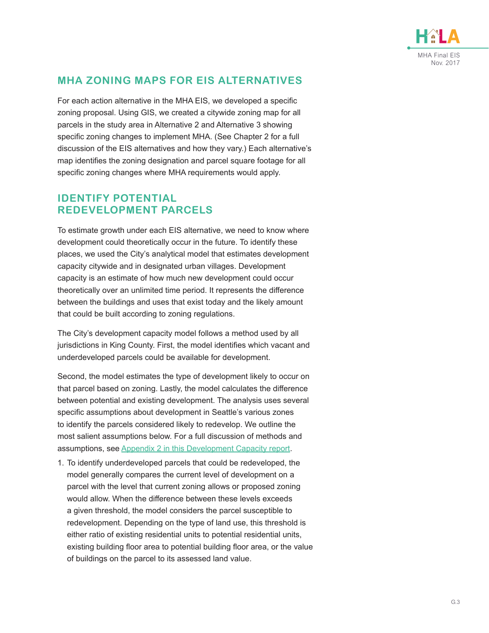

#### **MHA ZONING MAPS FOR EIS ALTERNATIVES**

For each action alternative in the MHA EIS, we developed a specific zoning proposal. Using GIS, we created a citywide zoning map for all parcels in the study area in Alternative 2 and Alternative 3 showing specific zoning changes to implement MHA. (See Chapter 2 for a full discussion of the EIS alternatives and how they vary.) Each alternative's map identifies the zoning designation and parcel square footage for all specific zoning changes where MHA requirements would apply.

#### **IDENTIFY POTENTIAL REDEVELOPMENT PARCELS**

To estimate growth under each EIS alternative, we need to know where development could theoretically occur in the future. To identify these places, we used the City's analytical model that estimates development capacity citywide and in designated urban villages. Development capacity is an estimate of how much new development could occur theoretically over an unlimited time period. It represents the difference between the buildings and uses that exist today and the likely amount that could be built according to zoning regulations.

The City's development capacity model follows a method used by all jurisdictions in King County. First, the model identifies which vacant and underdeveloped parcels could be available for development.

Second, the model estimates the type of development likely to occur on that parcel based on zoning. Lastly, the model calculates the difference between potential and existing development. The analysis uses several specific assumptions about development in Seattle's various zones to identify the parcels considered likely to redevelop. We outline the most salient assumptions below. For a full discussion of methods and assumptions, see [Appendix 2 in this Development Capacity report](http://www.seattle.gov/dpd/cs/groups/pan/@pan/documents/web_informational/p2182731.pdf#page=13).

1. To identify underdeveloped parcels that could be redeveloped, the model generally compares the current level of development on a parcel with the level that current zoning allows or proposed zoning would allow. When the difference between these levels exceeds a given threshold, the model considers the parcel susceptible to redevelopment. Depending on the type of land use, this threshold is either ratio of existing residential units to potential residential units, existing building floor area to potential building floor area, or the value of buildings on the parcel to its assessed land value.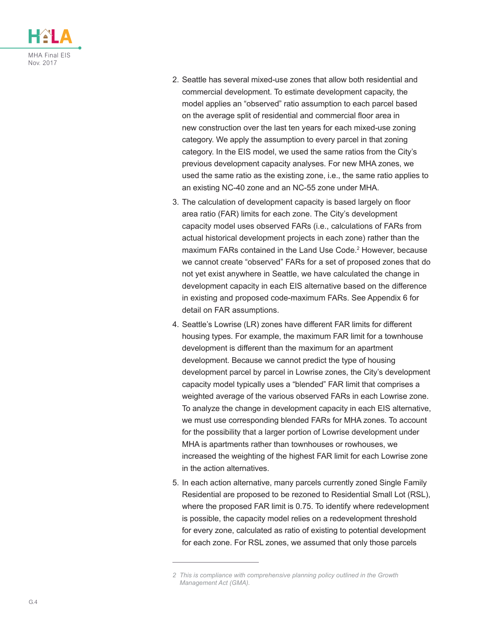

- 2. Seattle has several mixed-use zones that allow both residential and commercial development. To estimate development capacity, the model applies an "observed" ratio assumption to each parcel based on the average split of residential and commercial floor area in new construction over the last ten years for each mixed-use zoning category. We apply the assumption to every parcel in that zoning category. In the EIS model, we used the same ratios from the City's previous development capacity analyses. For new MHA zones, we used the same ratio as the existing zone, i.e., the same ratio applies to an existing NC-40 zone and an NC-55 zone under MHA.
- 3. The calculation of development capacity is based largely on floor area ratio (FAR) limits for each zone. The City's development capacity model uses observed FARs (i.e., calculations of FARs from actual historical development projects in each zone) rather than the maximum FARs contained in the Land Use Code.2 However, because we cannot create "observed" FARs for a set of proposed zones that do not yet exist anywhere in Seattle, we have calculated the change in development capacity in each EIS alternative based on the difference in existing and proposed code-maximum FARs. See Appendix 6 for detail on FAR assumptions.
- 4. Seattle's Lowrise (LR) zones have different FAR limits for different housing types. For example, the maximum FAR limit for a townhouse development is different than the maximum for an apartment development. Because we cannot predict the type of housing development parcel by parcel in Lowrise zones, the City's development capacity model typically uses a "blended" FAR limit that comprises a weighted average of the various observed FARs in each Lowrise zone. To analyze the change in development capacity in each EIS alternative, we must use corresponding blended FARs for MHA zones. To account for the possibility that a larger portion of Lowrise development under MHA is apartments rather than townhouses or rowhouses, we increased the weighting of the highest FAR limit for each Lowrise zone in the action alternatives.
- 5. In each action alternative, many parcels currently zoned Single Family Residential are proposed to be rezoned to Residential Small Lot (RSL), where the proposed FAR limit is 0.75. To identify where redevelopment is possible, the capacity model relies on a redevelopment threshold for every zone, calculated as ratio of existing to potential development for each zone. For RSL zones, we assumed that only those parcels

*<sup>2</sup> This is compliance with comprehensive planning policy outlined in the Growth Management Act (GMA).*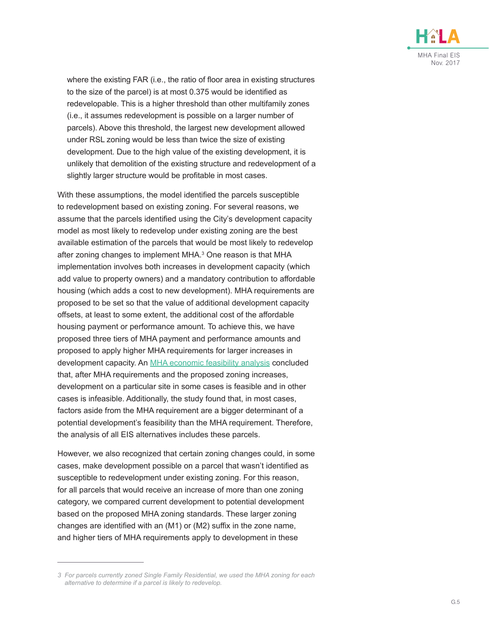

where the existing FAR (i.e., the ratio of floor area in existing structures to the size of the parcel) is at most 0.375 would be identified as redevelopable. This is a higher threshold than other multifamily zones (i.e., it assumes redevelopment is possible on a larger number of parcels). Above this threshold, the largest new development allowed under RSL zoning would be less than twice the size of existing development. Due to the high value of the existing development, it is unlikely that demolition of the existing structure and redevelopment of a slightly larger structure would be profitable in most cases.

With these assumptions, the model identified the parcels susceptible to redevelopment based on existing zoning. For several reasons, we assume that the parcels identified using the City's development capacity model as most likely to redevelop under existing zoning are the best available estimation of the parcels that would be most likely to redevelop after zoning changes to implement MHA.<sup>3</sup> One reason is that MHA implementation involves both increases in development capacity (which add value to property owners) and a mandatory contribution to affordable housing (which adds a cost to new development). MHA requirements are proposed to be set so that the value of additional development capacity offsets, at least to some extent, the additional cost of the affordable housing payment or performance amount. To achieve this, we have proposed three tiers of MHA payment and performance amounts and proposed to apply higher MHA requirements for larger increases in development capacity. An [MHA economic feasibility analysis](http://www.seattle.gov/Documents/Departments/HALA/Policy/2016_1129 CAI HALA Economic Analysis Summary Memorandum.pdf) concluded that, after MHA requirements and the proposed zoning increases, development on a particular site in some cases is feasible and in other cases is infeasible. Additionally, the study found that, in most cases, factors aside from the MHA requirement are a bigger determinant of a potential development's feasibility than the MHA requirement. Therefore, the analysis of all EIS alternatives includes these parcels.

However, we also recognized that certain zoning changes could, in some cases, make development possible on a parcel that wasn't identified as susceptible to redevelopment under existing zoning. For this reason, for all parcels that would receive an increase of more than one zoning category, we compared current development to potential development based on the proposed MHA zoning standards. These larger zoning changes are identified with an (M1) or (M2) suffix in the zone name, and higher tiers of MHA requirements apply to development in these

*<sup>3</sup> For parcels currently zoned Single Family Residential, we used the MHA zoning for each alternative to determine if a parcel is likely to redevelop.*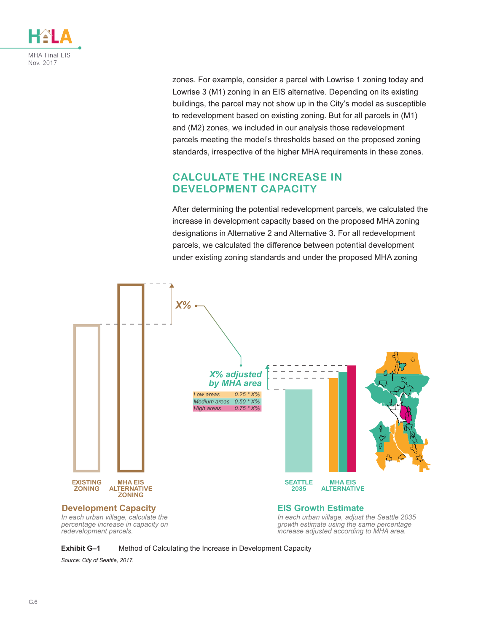

zones. For example, consider a parcel with Lowrise 1 zoning today and Lowrise 3 (M1) zoning in an EIS alternative. Depending on its existing buildings, the parcel may not show up in the City's model as susceptible to redevelopment based on existing zoning. But for all parcels in (M1) and (M2) zones, we included in our analysis those redevelopment parcels meeting the model's thresholds based on the proposed zoning standards, irrespective of the higher MHA requirements in these zones.

#### **CALCULATE THE INCREASE IN DEVELOPMENT CAPACITY**

After determining the potential redevelopment parcels, we calculated the increase in development capacity based on the proposed MHA zoning designations in Alternative 2 and Alternative 3. For all redevelopment parcels, we calculated the difference between potential development under existing zoning standards and under the proposed MHA zoning





*Source: City of Seattle, 2017.*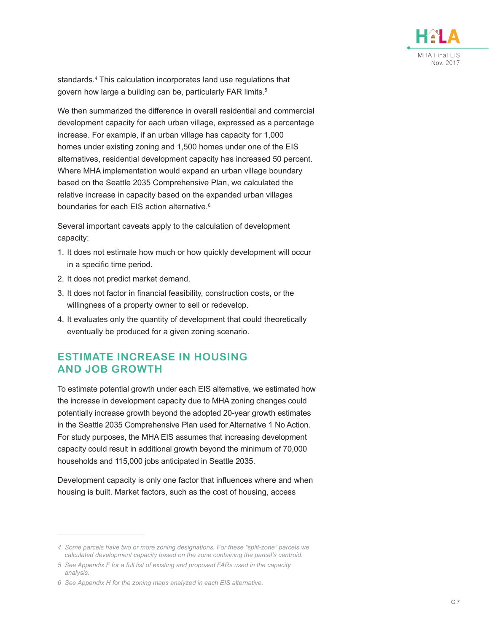

standards.<sup>4</sup> This calculation incorporates land use regulations that govern how large a building can be, particularly FAR limits.<sup>5</sup>

We then summarized the difference in overall residential and commercial development capacity for each urban village, expressed as a percentage increase. For example, if an urban village has capacity for 1,000 homes under existing zoning and 1,500 homes under one of the EIS alternatives, residential development capacity has increased 50 percent. Where MHA implementation would expand an urban village boundary based on the Seattle 2035 Comprehensive Plan, we calculated the relative increase in capacity based on the expanded urban villages boundaries for each EIS action alternative.<sup>6</sup>

Several important caveats apply to the calculation of development capacity:

- 1. It does not estimate how much or how quickly development will occur in a specific time period.
- 2. It does not predict market demand.
- 3. It does not factor in financial feasibility, construction costs, or the willingness of a property owner to sell or redevelop.
- 4. It evaluates only the quantity of development that could theoretically eventually be produced for a given zoning scenario.

#### **ESTIMATE INCREASE IN HOUSING AND JOB GROWTH**

To estimate potential growth under each EIS alternative, we estimated how the increase in development capacity due to MHA zoning changes could potentially increase growth beyond the adopted 20-year growth estimates in the Seattle 2035 Comprehensive Plan used for Alternative 1 No Action. For study purposes, the MHA EIS assumes that increasing development capacity could result in additional growth beyond the minimum of 70,000 households and 115,000 jobs anticipated in Seattle 2035.

Development capacity is only one factor that influences where and when housing is built. Market factors, such as the cost of housing, access

*<sup>4</sup> Some parcels have two or more zoning designations. For these "split-zone" parcels we calculated development capacity based on the zone containing the parcel's centroid.*

*<sup>5</sup> See Appendix F for a full list of existing and proposed FARs used in the capacity analysis.*

*<sup>6</sup> See Appendix H for the zoning maps analyzed in each EIS alternative.*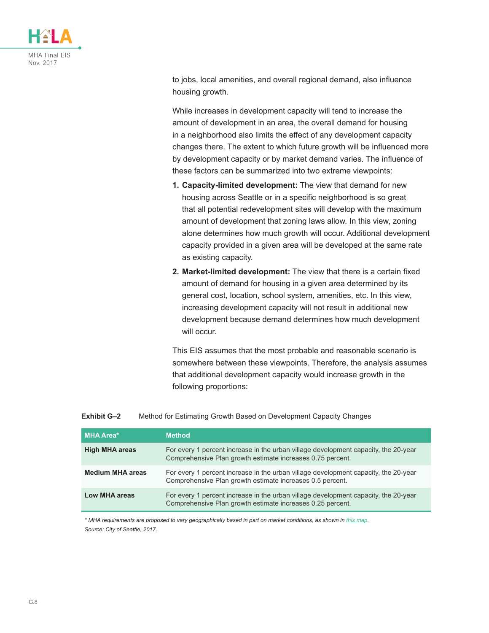

to jobs, local amenities, and overall regional demand, also influence housing growth.

While increases in development capacity will tend to increase the amount of development in an area, the overall demand for housing in a neighborhood also limits the effect of any development capacity changes there. The extent to which future growth will be influenced more by development capacity or by market demand varies. The influence of these factors can be summarized into two extreme viewpoints:

- **1. Capacity-limited development:** The view that demand for new housing across Seattle or in a specific neighborhood is so great that all potential redevelopment sites will develop with the maximum amount of development that zoning laws allow. In this view, zoning alone determines how much growth will occur. Additional development capacity provided in a given area will be developed at the same rate as existing capacity.
- **2. Market-limited development:** The view that there is a certain fixed amount of demand for housing in a given area determined by its general cost, location, school system, amenities, etc. In this view, increasing development capacity will not result in additional new development because demand determines how much development will occur.

This EIS assumes that the most probable and reasonable scenario is somewhere between these viewpoints. Therefore, the analysis assumes that additional development capacity would increase growth in the following proportions:

| MHA Area*               | <b>Method</b>                                                                                                                                     |
|-------------------------|---------------------------------------------------------------------------------------------------------------------------------------------------|
| <b>High MHA areas</b>   | For every 1 percent increase in the urban village development capacity, the 20-year<br>Comprehensive Plan growth estimate increases 0.75 percent. |
| <b>Medium MHA areas</b> | For every 1 percent increase in the urban village development capacity, the 20-year<br>Comprehensive Plan growth estimate increases 0.5 percent.  |
| Low MHA areas           | For every 1 percent increase in the urban village development capacity, the 20-year<br>Comprehensive Plan growth estimate increases 0.25 percent. |

#### **Exhibit G–2** Method for Estimating Growth Based on Development Capacity Changes

*\* MHA requirements are proposed to vary geographically based in part on market conditions, as shown in [this map](https://www.seattle.gov/Documents/Departments/HALA/Policy/MHA Areas.pdf). Source: City of Seattle, 2017.*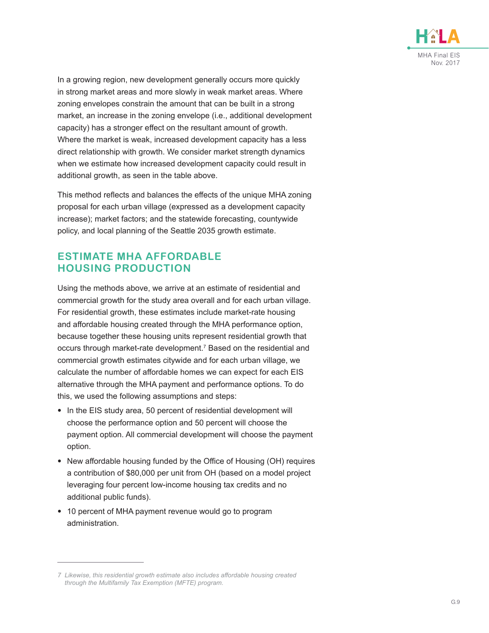

In a growing region, new development generally occurs more quickly in strong market areas and more slowly in weak market areas. Where zoning envelopes constrain the amount that can be built in a strong market, an increase in the zoning envelope (i.e., additional development capacity) has a stronger effect on the resultant amount of growth. Where the market is weak, increased development capacity has a less direct relationship with growth. We consider market strength dynamics when we estimate how increased development capacity could result in additional growth, as seen in the table above.

This method reflects and balances the effects of the unique MHA zoning proposal for each urban village (expressed as a development capacity increase); market factors; and the statewide forecasting, countywide policy, and local planning of the Seattle 2035 growth estimate.

#### **ESTIMATE MHA AFFORDABLE HOUSING PRODUCTION**

Using the methods above, we arrive at an estimate of residential and commercial growth for the study area overall and for each urban village. For residential growth, these estimates include market-rate housing and affordable housing created through the MHA performance option, because together these housing units represent residential growth that occurs through market-rate development.<sup>7</sup> Based on the residential and commercial growth estimates citywide and for each urban village, we calculate the number of affordable homes we can expect for each EIS alternative through the MHA payment and performance options. To do this, we used the following assumptions and steps:

- In the EIS study area, 50 percent of residential development will choose the performance option and 50 percent will choose the payment option. All commercial development will choose the payment option.
- New affordable housing funded by the Office of Housing (OH) requires a contribution of \$80,000 per unit from OH (based on a model project leveraging four percent low-income housing tax credits and no additional public funds).
- 10 percent of MHA payment revenue would go to program administration.

*<sup>7</sup> Likewise, this residential growth estimate also includes affordable housing created through the Multifamily Tax Exemption (MFTE) program.*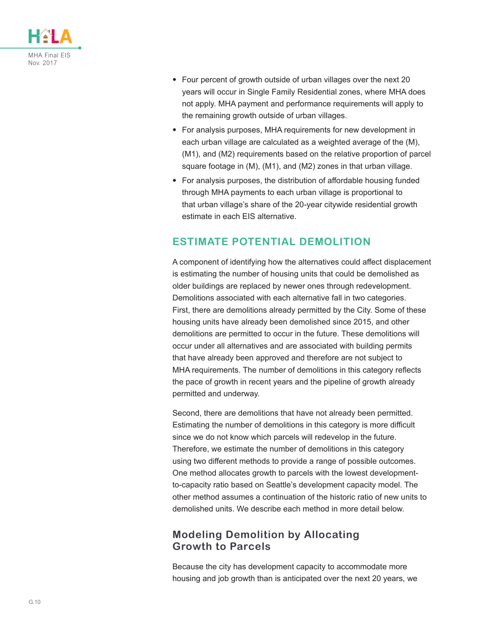

- Four percent of growth outside of urban villages over the next 20 years will occur in Single Family Residential zones, where MHA does not apply. MHA payment and performance requirements will apply to the remaining growth outside of urban villages.
- For analysis purposes, MHA requirements for new development in each urban village are calculated as a weighted average of the (M), (M1), and (M2) requirements based on the relative proportion of parcel square footage in (M), (M1), and (M2) zones in that urban village.
- For analysis purposes, the distribution of affordable housing funded through MHA payments to each urban village is proportional to that urban village's share of the 20-year citywide residential growth estimate in each EIS alternative.

#### **ESTIMATE POTENTIAL DEMOLITION**

A component of identifying how the alternatives could affect displacement is estimating the number of housing units that could be demolished as older buildings are replaced by newer ones through redevelopment. Demolitions associated with each alternative fall in two categories. First, there are demolitions already permitted by the City. Some of these housing units have already been demolished since 2015, and other demolitions are permitted to occur in the future. These demolitions will occur under all alternatives and are associated with building permits that have already been approved and therefore are not subject to MHA requirements. The number of demolitions in this category reflects the pace of growth in recent years and the pipeline of growth already permitted and underway.

Second, there are demolitions that have not already been permitted. Estimating the number of demolitions in this category is more difficult since we do not know which parcels will redevelop in the future. Therefore, we estimate the number of demolitions in this category using two different methods to provide a range of possible outcomes. One method allocates growth to parcels with the lowest developmentto-capacity ratio based on Seattle's development capacity model. The other method assumes a continuation of the historic ratio of new units to demolished units. We describe each method in more detail below.

#### **Modeling Demolition by Allocating Growth to Parcels**

Because the city has development capacity to accommodate more housing and job growth than is anticipated over the next 20 years, we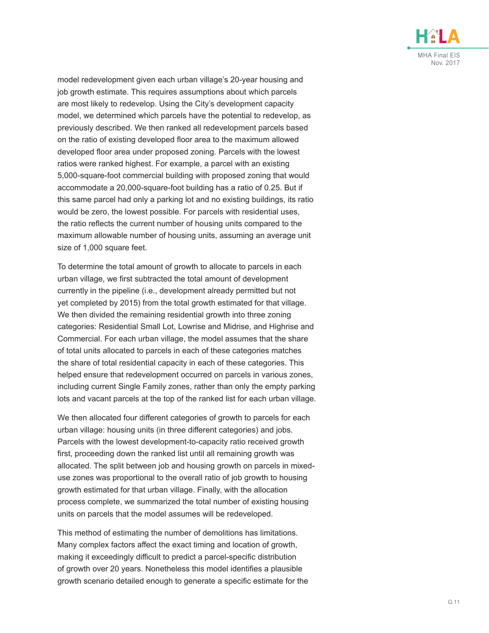

model redevelopment given each urban village's 20-year housing and job growth estimate. This requires assumptions about which parcels are most likely to redevelop. Using the City's development capacity model, we determined which parcels have the potential to redevelop, as previously described. We then ranked all redevelopment parcels based on the ratio of existing developed floor area to the maximum allowed developed floor area under proposed zoning. Parcels with the lowest ratios were ranked highest. For example, a parcel with an existing 5,000-square-foot commercial building with proposed zoning that would accommodate a 20,000-square-foot building has a ratio of 0.25. But if this same parcel had only a parking lot and no existing buildings, its ratio would be zero, the lowest possible. For parcels with residential uses, the ratio reflects the current number of housing units compared to the maximum allowable number of housing units, assuming an average unit size of 1,000 square feet.

To determine the total amount of growth to allocate to parcels in each urban village, we first subtracted the total amount of development currently in the pipeline (i.e., development already permitted but not yet completed by 2015) from the total growth estimated for that village. We then divided the remaining residential growth into three zoning categories: Residential Small Lot, Lowrise and Midrise, and Highrise and Commercial. For each urban village, the model assumes that the share of total units allocated to parcels in each of these categories matches the share of total residential capacity in each of these categories. This helped ensure that redevelopment occurred on parcels in various zones, including current Single Family zones, rather than only the empty parking lots and vacant parcels at the top of the ranked list for each urban village.

We then allocated four different categories of growth to parcels for each urban village: housing units (in three different categories) and jobs. Parcels with the lowest development-to-capacity ratio received growth first, proceeding down the ranked list until all remaining growth was allocated. The split between job and housing growth on parcels in mixeduse zones was proportional to the overall ratio of job growth to housing growth estimated for that urban village. Finally, with the allocation process complete, we summarized the total number of existing housing units on parcels that the model assumes will be redeveloped.

This method of estimating the number of demolitions has limitations. Many complex factors affect the exact timing and location of growth, making it exceedingly difficult to predict a parcel-specific distribution of growth over 20 years. Nonetheless this model identifies a plausible growth scenario detailed enough to generate a specific estimate for the